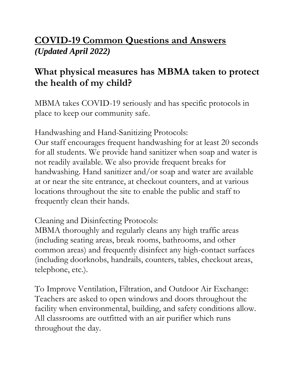### **COVID-19 Common Questions and Answers** *(Updated April 2022)*

## **What physical measures has MBMA taken to protect the health of my child?**

MBMA takes COVID-19 seriously and has specific protocols in place to keep our community safe.

Handwashing and Hand-Sanitizing Protocols:

Our staff encourages frequent handwashing for at least 20 seconds for all students. We provide hand sanitizer when soap and water is not readily available. We also provide frequent breaks for handwashing. Hand sanitizer and/or soap and water are available at or near the site entrance, at checkout counters, and at various locations throughout the site to enable the public and staff to frequently clean their hands.

Cleaning and Disinfecting Protocols:

MBMA thoroughly and regularly cleans any high traffic areas (including seating areas, break rooms, bathrooms, and other common areas) and frequently disinfect any high-contact surfaces (including doorknobs, handrails, counters, tables, checkout areas, telephone, etc.).

To Improve Ventilation, Filtration, and Outdoor Air Exchange: Teachers are asked to open windows and doors throughout the facility when environmental, building, and safety conditions allow. All classrooms are outfitted with an air purifier which runs throughout the day.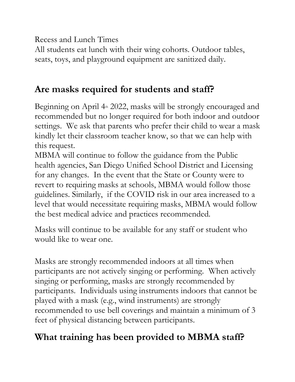Recess and Lunch Times

All students eat lunch with their wing cohorts. Outdoor tables, seats, toys, and playground equipment are sanitized daily.

## **Are masks required for students and staff?**

Beginning on April  $4<sup>th</sup>$  2022, masks will be strongly encouraged and recommended but no longer required for both indoor and outdoor settings. We ask that parents who prefer their child to wear a mask kindly let their classroom teacher know, so that we can help with this request.

MBMA will continue to follow the guidance from the Public health agencies, San Diego Unified School District and Licensing for any changes. In the event that the State or County were to revert to requiring masks at schools, MBMA would follow those guidelines. Similarly, if the COVID risk in our area increased to a level that would necessitate requiring masks, MBMA would follow the best medical advice and practices recommended.

Masks will continue to be available for any staff or student who would like to wear one.

Masks are strongly recommended indoors at all times when participants are not actively singing or performing. When actively singing or performing, masks are strongly recommended by participants. Individuals using instruments indoors that cannot be played with a mask (e.g., wind instruments) are strongly recommended to use bell coverings and maintain a minimum of 3 feet of physical distancing between participants.

# **What training has been provided to MBMA staff?**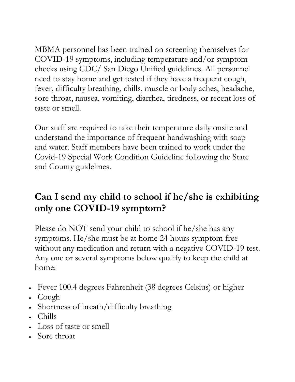MBMA personnel has been trained on screening themselves for COVID-19 symptoms, including temperature and/or symptom checks using CDC/ San Diego Unified guidelines. All personnel need to stay home and get tested if they have a frequent cough, fever, difficulty breathing, chills, muscle or body aches, headache, sore throat, nausea, vomiting, diarrhea, tiredness, or recent loss of taste or smell.

Our staff are required to take their temperature daily onsite and understand the importance of frequent handwashing with soap and water. Staff members have been trained to work under the Covid-19 Special Work Condition Guideline following the State and County guidelines.

## **Can I send my child to school if he/she is exhibiting only one COVID-19 symptom?**

Please do NOT send your child to school if he/she has any symptoms. He/she must be at home 24 hours symptom free without any medication and return with a negative COVID-19 test. Any one or several symptoms below qualify to keep the child at home:

- Fever 100.4 degrees Fahrenheit (38 degrees Celsius) or higher
- Cough
- Shortness of breath/difficulty breathing
- Chills
- Loss of taste or smell
- Sore throat